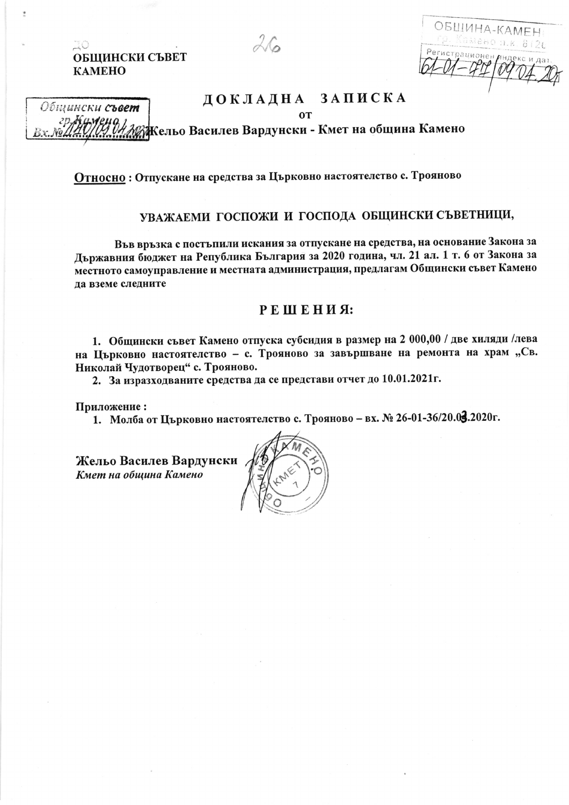ОБШИНСКИ СЪВЕТ **KAMEHO** 

ïО

Общински съвет

ОБШИНА-КАМЕН мено п.к. 8 (26 анионе

## ДОКЛАДНА ЗАПИСКА

**OT** 

**ВЖельо Василев Вардунски - Кмет на община Камено** 

 $26$ 

Относно: Отпускане на средства за Църковно настоятелство с. Трояново

## УВАЖАЕМИ ГОСПОЖИ И ГОСПОДА ОБЩИНСКИ СЪВЕТНИЦИ,

Във връзка с постъпили искания за отпускане на средства, на основание Закона за Държавния бюджет на Република България за 2020 година, чл. 21 ал. 1 т. 6 от Закона за местното самоуправление и местната администрация, предлагам Общински съвет Камено да вземе следните

## РЕШЕНИЯ:

1. Общински съвет Камено отпуска субсидия в размер на 2 000,00 / две хиляди /лева на Църковно настоятелство - с. Трояново за завършване на ремонта на храм "Св. Николай Чудотворец" с. Трояново.

2. За изразходваните средства да се представи отчет до 10.01.2021 г.

Приложение:

1. Молба от Църковно настоятелство с. Трояново – вх. № 26-01-36/20.03.2020г.

Жельо Василев Вардунски Кмет на община Камено